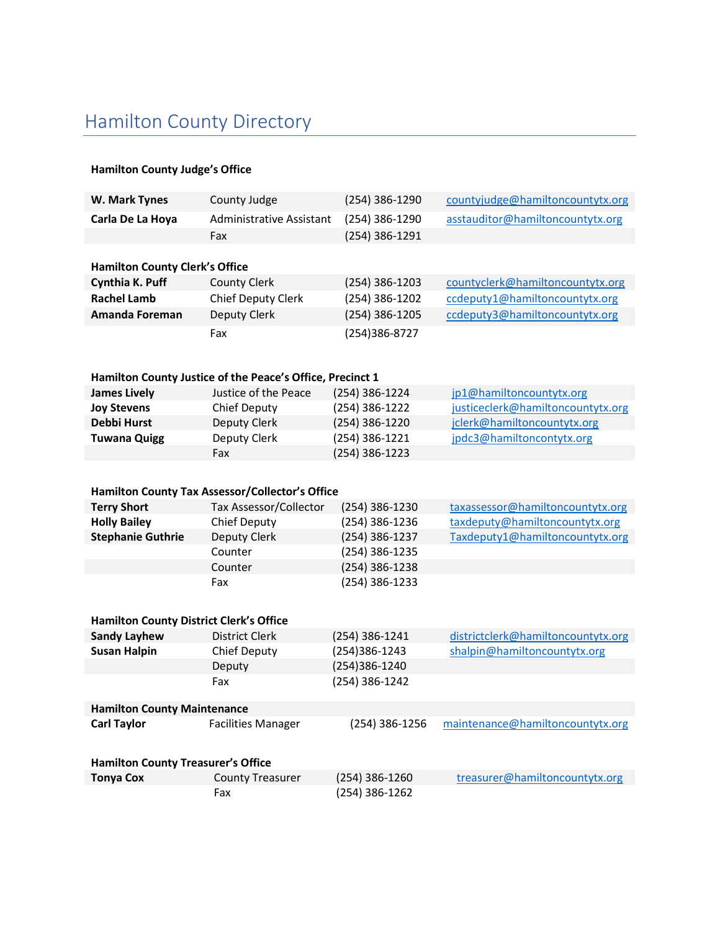## Hamilton County Directory

## Hamilton County Judge's Office

| W. Mark Tynes                                  | County Judge                                              | (254) 386-1290 | countyjudge@hamiltoncountytx.org   |  |  |  |
|------------------------------------------------|-----------------------------------------------------------|----------------|------------------------------------|--|--|--|
| Carla De La Hoya                               | Administrative Assistant                                  | (254) 386-1290 | asstauditor@hamiltoncountytx.org   |  |  |  |
|                                                | Fax                                                       | (254) 386-1291 |                                    |  |  |  |
|                                                |                                                           |                |                                    |  |  |  |
| <b>Hamilton County Clerk's Office</b>          |                                                           |                |                                    |  |  |  |
| Cynthia K. Puff                                | <b>County Clerk</b>                                       | (254) 386-1203 | countyclerk@hamiltoncountytx.org   |  |  |  |
| <b>Rachel Lamb</b>                             | <b>Chief Deputy Clerk</b>                                 | (254) 386-1202 | ccdeputy1@hamiltoncountytx.org     |  |  |  |
| Amanda Foreman                                 | Deputy Clerk                                              | (254) 386-1205 | ccdeputy3@hamiltoncountytx.org     |  |  |  |
|                                                | Fax                                                       | (254)386-8727  |                                    |  |  |  |
|                                                |                                                           |                |                                    |  |  |  |
|                                                |                                                           |                |                                    |  |  |  |
|                                                | Hamilton County Justice of the Peace's Office, Precinct 1 |                |                                    |  |  |  |
| <b>James Lively</b>                            | Justice of the Peace                                      | (254) 386-1224 | jp1@hamiltoncountytx.org           |  |  |  |
| <b>Joy Stevens</b>                             | Chief Deputy                                              | (254) 386-1222 | justiceclerk@hamiltoncountytx.org  |  |  |  |
| <b>Debbi Hurst</b>                             | <b>Deputy Clerk</b>                                       | (254) 386-1220 | jclerk@hamiltoncountytx.org        |  |  |  |
| <b>Tuwana Quigg</b>                            | Deputy Clerk                                              | (254) 386-1221 | jpdc3@hamiltoncontytx.org          |  |  |  |
|                                                | Fax                                                       | (254) 386-1223 |                                    |  |  |  |
|                                                |                                                           |                |                                    |  |  |  |
|                                                | Hamilton County Tax Assessor/Collector's Office           |                |                                    |  |  |  |
| <b>Terry Short</b>                             | Tax Assessor/Collector                                    | (254) 386-1230 | taxassessor@hamiltoncountytx.org   |  |  |  |
| <b>Holly Bailey</b>                            | Chief Deputy                                              | (254) 386-1236 | taxdeputy@hamiltoncountytx.org     |  |  |  |
| <b>Stephanie Guthrie</b>                       | Deputy Clerk                                              | (254) 386-1237 | Taxdeputy1@hamiltoncountytx.org    |  |  |  |
|                                                | Counter                                                   | (254) 386-1235 |                                    |  |  |  |
|                                                | Counter                                                   | (254) 386-1238 |                                    |  |  |  |
|                                                | Fax                                                       | (254) 386-1233 |                                    |  |  |  |
|                                                |                                                           |                |                                    |  |  |  |
| <b>Hamilton County District Clerk's Office</b> |                                                           |                |                                    |  |  |  |
| <b>Sandy Layhew</b>                            | <b>District Clerk</b>                                     | (254) 386-1241 | districtclerk@hamiltoncountytx.org |  |  |  |
| <b>Susan Halpin</b>                            | Chief Deputy                                              | (254)386-1243  | shalpin@hamiltoncountytx.org       |  |  |  |
|                                                | Deputy                                                    | (254)386-1240  |                                    |  |  |  |
|                                                | Fax                                                       | (254) 386-1242 |                                    |  |  |  |
|                                                |                                                           |                |                                    |  |  |  |
| <b>Hamilton County Maintenance</b>             |                                                           |                |                                    |  |  |  |
| <b>Carl Taylor</b>                             | <b>Facilities Manager</b>                                 | (254) 386-1256 | maintenance@hamiltoncountytx.org   |  |  |  |
|                                                |                                                           |                |                                    |  |  |  |
| <b>Hamilton County Treasurer's Office</b>      |                                                           |                |                                    |  |  |  |
| <b>Tonya Cox</b>                               | <b>County Treasurer</b>                                   | (254) 386-1260 | treasurer@hamiltoncountytx.org     |  |  |  |
|                                                | Fax                                                       | (254) 386-1262 |                                    |  |  |  |
|                                                |                                                           |                |                                    |  |  |  |